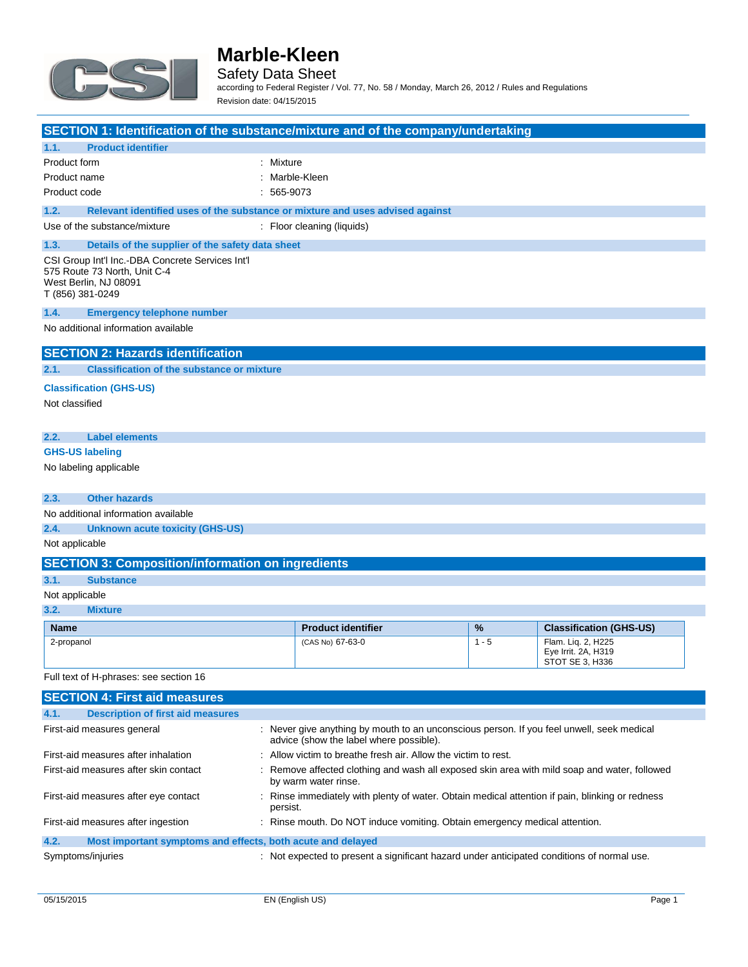

Safety Data Sheet

according to Federal Register / Vol. 77, No. 58 / Monday, March 26, 2012 / Rules and Regulations Revision date: 04/15/2015

| SECTION 1: Identification of the substance/mixture and of the company/undertaking                                             |                                                                                                                                      |         |                                                              |
|-------------------------------------------------------------------------------------------------------------------------------|--------------------------------------------------------------------------------------------------------------------------------------|---------|--------------------------------------------------------------|
| 1.1.<br><b>Product identifier</b>                                                                                             |                                                                                                                                      |         |                                                              |
| Product form                                                                                                                  | : Mixture                                                                                                                            |         |                                                              |
| Product name                                                                                                                  | : Marble-Kleen                                                                                                                       |         |                                                              |
| Product code                                                                                                                  | $: 565-9073$                                                                                                                         |         |                                                              |
| 1.2.                                                                                                                          | Relevant identified uses of the substance or mixture and uses advised against                                                        |         |                                                              |
| Use of the substance/mixture                                                                                                  | : Floor cleaning (liquids)                                                                                                           |         |                                                              |
| 1.3.<br>Details of the supplier of the safety data sheet                                                                      |                                                                                                                                      |         |                                                              |
| CSI Group Int'l Inc.-DBA Concrete Services Int'l<br>575 Route 73 North, Unit C-4<br>West Berlin, NJ 08091<br>T (856) 381-0249 |                                                                                                                                      |         |                                                              |
| 1.4.<br><b>Emergency telephone number</b>                                                                                     |                                                                                                                                      |         |                                                              |
| No additional information available                                                                                           |                                                                                                                                      |         |                                                              |
| <b>SECTION 2: Hazards identification</b>                                                                                      |                                                                                                                                      |         |                                                              |
| 2.1.<br><b>Classification of the substance or mixture</b>                                                                     |                                                                                                                                      |         |                                                              |
| <b>Classification (GHS-US)</b>                                                                                                |                                                                                                                                      |         |                                                              |
| Not classified                                                                                                                |                                                                                                                                      |         |                                                              |
|                                                                                                                               |                                                                                                                                      |         |                                                              |
| 2.2.<br><b>Label elements</b>                                                                                                 |                                                                                                                                      |         |                                                              |
| <b>GHS-US labeling</b>                                                                                                        |                                                                                                                                      |         |                                                              |
| No labeling applicable                                                                                                        |                                                                                                                                      |         |                                                              |
|                                                                                                                               |                                                                                                                                      |         |                                                              |
| 2.3.<br><b>Other hazards</b>                                                                                                  |                                                                                                                                      |         |                                                              |
| No additional information available                                                                                           |                                                                                                                                      |         |                                                              |
|                                                                                                                               | 2.4.<br><b>Unknown acute toxicity (GHS-US)</b>                                                                                       |         |                                                              |
| Not applicable                                                                                                                |                                                                                                                                      |         |                                                              |
| <b>SECTION 3: Composition/information on ingredients</b>                                                                      |                                                                                                                                      |         |                                                              |
| 3.1.<br><b>Substance</b>                                                                                                      |                                                                                                                                      |         |                                                              |
| Not applicable                                                                                                                |                                                                                                                                      |         |                                                              |
| 3.2.<br><b>Mixture</b>                                                                                                        |                                                                                                                                      |         |                                                              |
| <b>Name</b>                                                                                                                   | <b>Product identifier</b>                                                                                                            | %       | <b>Classification (GHS-US)</b>                               |
| 2-propanol                                                                                                                    | (CAS No) 67-63-0                                                                                                                     | $1 - 5$ | Flam. Liq. 2, H225<br>Eye Irrit. 2A, H319<br>STOT SE 3. H336 |
| Full text of H-phrases: see section 16                                                                                        |                                                                                                                                      |         |                                                              |
| <b>SECTION 4: First aid measures</b>                                                                                          |                                                                                                                                      |         |                                                              |
| 4.1.<br><b>Description of first aid measures</b>                                                                              |                                                                                                                                      |         |                                                              |
| First-aid measures general                                                                                                    | : Never give anything by mouth to an unconscious person. If you feel unwell, seek medical<br>advice (show the label where possible). |         |                                                              |
| First-aid measures after inhalation                                                                                           | : Allow victim to breathe fresh air. Allow the victim to rest.                                                                       |         |                                                              |
|                                                                                                                               |                                                                                                                                      |         |                                                              |

First-aid measures after skin contact : Remove affected clothing and wash all exposed skin area with mild soap and water, followed by warm water rinse.

First-aid measures after eye contact : Rinse immediately with plenty of water. Obtain medical attention if pain, blinking or redness persist. First-aid measures after ingestion : Rinse mouth. Do NOT induce vomiting. Obtain emergency medical attention.

#### **4.2. Most important symptoms and effects, both acute and delayed**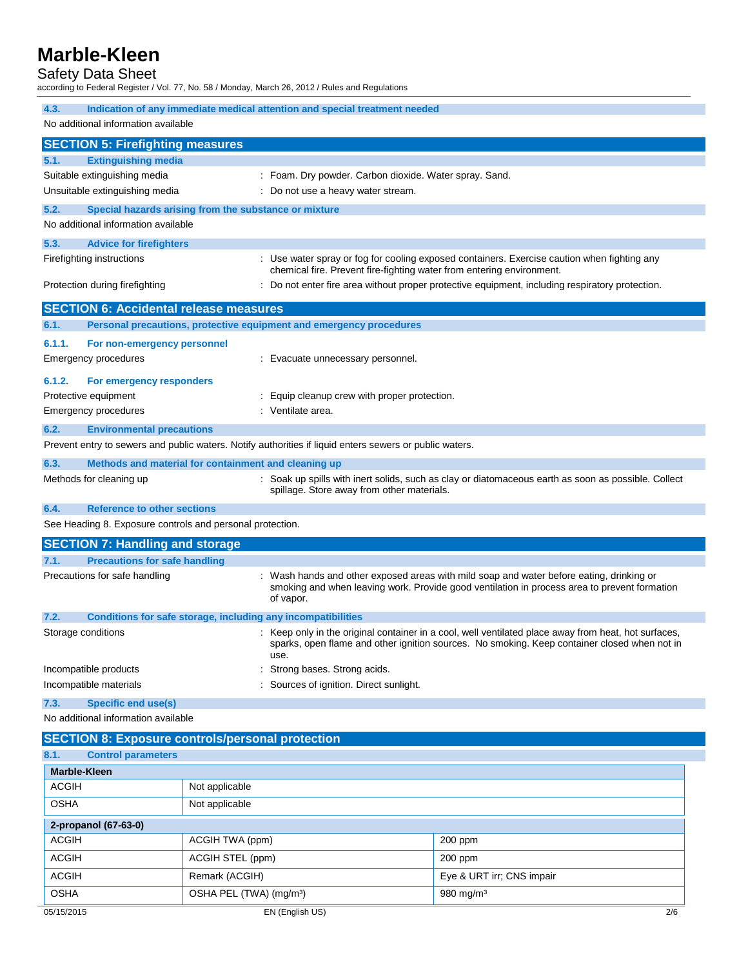#### Safety Data Sheet

according to Federal Register / Vol. 77, No. 58 / Monday, March 26, 2012 / Rules and Regulations

| 4.3.                                                                                                 | Indication of any immediate medical attention and special treatment needed |                                                                                                         |                                                                                                                                                                                                      |
|------------------------------------------------------------------------------------------------------|----------------------------------------------------------------------------|---------------------------------------------------------------------------------------------------------|------------------------------------------------------------------------------------------------------------------------------------------------------------------------------------------------------|
| No additional information available                                                                  |                                                                            |                                                                                                         |                                                                                                                                                                                                      |
| <b>SECTION 5: Firefighting measures</b>                                                              |                                                                            |                                                                                                         |                                                                                                                                                                                                      |
| 5.1.<br><b>Extinguishing media</b>                                                                   |                                                                            |                                                                                                         |                                                                                                                                                                                                      |
| Suitable extinguishing media                                                                         |                                                                            | : Foam. Dry powder. Carbon dioxide. Water spray. Sand.                                                  |                                                                                                                                                                                                      |
| Unsuitable extinguishing media                                                                       |                                                                            | : Do not use a heavy water stream.                                                                      |                                                                                                                                                                                                      |
| 5.2.<br>Special hazards arising from the substance or mixture<br>No additional information available |                                                                            |                                                                                                         |                                                                                                                                                                                                      |
| 5.3.<br><b>Advice for firefighters</b>                                                               |                                                                            |                                                                                                         |                                                                                                                                                                                                      |
| Firefighting instructions                                                                            |                                                                            | chemical fire. Prevent fire-fighting water from entering environment.                                   | : Use water spray or fog for cooling exposed containers. Exercise caution when fighting any                                                                                                          |
| Protection during firefighting                                                                       |                                                                            |                                                                                                         | : Do not enter fire area without proper protective equipment, including respiratory protection.                                                                                                      |
| <b>SECTION 6: Accidental release measures</b>                                                        |                                                                            |                                                                                                         |                                                                                                                                                                                                      |
| 6.1.                                                                                                 |                                                                            | Personal precautions, protective equipment and emergency procedures                                     |                                                                                                                                                                                                      |
| 6.1.1.<br>For non-emergency personnel                                                                |                                                                            |                                                                                                         |                                                                                                                                                                                                      |
| <b>Emergency procedures</b>                                                                          |                                                                            | : Evacuate unnecessary personnel.                                                                       |                                                                                                                                                                                                      |
| 6.1.2.<br>For emergency responders                                                                   |                                                                            |                                                                                                         |                                                                                                                                                                                                      |
| Protective equipment                                                                                 |                                                                            | Equip cleanup crew with proper protection.                                                              |                                                                                                                                                                                                      |
| <b>Emergency procedures</b>                                                                          |                                                                            | : Ventilate area.                                                                                       |                                                                                                                                                                                                      |
| 6.2.<br><b>Environmental precautions</b>                                                             |                                                                            |                                                                                                         |                                                                                                                                                                                                      |
|                                                                                                      |                                                                            | Prevent entry to sewers and public waters. Notify authorities if liquid enters sewers or public waters. |                                                                                                                                                                                                      |
| 6.3.<br>Methods and material for containment and cleaning up                                         |                                                                            |                                                                                                         |                                                                                                                                                                                                      |
| Methods for cleaning up                                                                              |                                                                            | spillage. Store away from other materials.                                                              | : Soak up spills with inert solids, such as clay or diatomaceous earth as soon as possible. Collect                                                                                                  |
| <b>Reference to other sections</b><br>6.4.                                                           |                                                                            |                                                                                                         |                                                                                                                                                                                                      |
| See Heading 8. Exposure controls and personal protection.                                            |                                                                            |                                                                                                         |                                                                                                                                                                                                      |
| <b>SECTION 7: Handling and storage</b>                                                               |                                                                            |                                                                                                         |                                                                                                                                                                                                      |
| 7.1.<br><b>Precautions for safe handling</b>                                                         |                                                                            |                                                                                                         |                                                                                                                                                                                                      |
| Precautions for safe handling                                                                        |                                                                            | of vapor.                                                                                               | : Wash hands and other exposed areas with mild soap and water before eating, drinking or<br>smoking and when leaving work. Provide good ventilation in process area to prevent formation             |
| 7.2.                                                                                                 |                                                                            | Conditions for safe storage, including any incompatibilities                                            |                                                                                                                                                                                                      |
| Storage conditions                                                                                   |                                                                            | use.                                                                                                    | : Keep only in the original container in a cool, well ventilated place away from heat, hot surfaces,<br>sparks, open flame and other ignition sources. No smoking. Keep container closed when not in |
| Incompatible products                                                                                |                                                                            | Strong bases. Strong acids.                                                                             |                                                                                                                                                                                                      |
| Sources of ignition. Direct sunlight.<br>Incompatible materials                                      |                                                                            |                                                                                                         |                                                                                                                                                                                                      |
| 7.3.<br><b>Specific end use(s)</b>                                                                   |                                                                            |                                                                                                         |                                                                                                                                                                                                      |
| No additional information available                                                                  |                                                                            |                                                                                                         |                                                                                                                                                                                                      |
| <b>SECTION 8: Exposure controls/personal protection</b>                                              |                                                                            |                                                                                                         |                                                                                                                                                                                                      |
| 8.1.<br><b>Control parameters</b>                                                                    |                                                                            |                                                                                                         |                                                                                                                                                                                                      |
| <b>Marble-Kleen</b>                                                                                  |                                                                            |                                                                                                         |                                                                                                                                                                                                      |
| <b>ACGIH</b>                                                                                         | Not applicable                                                             |                                                                                                         |                                                                                                                                                                                                      |
| <b>OSHA</b>                                                                                          | Not applicable                                                             |                                                                                                         |                                                                                                                                                                                                      |
| 2-propanol (67-63-0)                                                                                 |                                                                            |                                                                                                         |                                                                                                                                                                                                      |
| <b>ACGIH</b>                                                                                         | ACGIH TWA (ppm)                                                            |                                                                                                         | 200 ppm                                                                                                                                                                                              |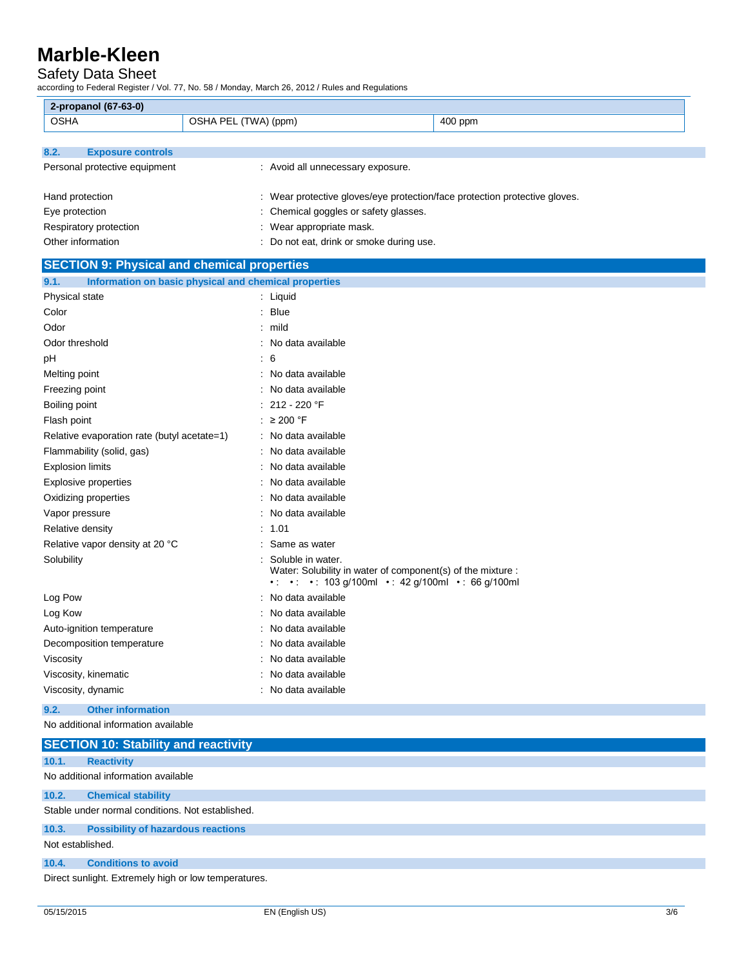#### Safety Data Sheet

according to Federal Register / Vol. 77, No. 58 / Monday, March 26, 2012 / Rules and Regulations

| 2-propanol (67-63-0)                               |                                                                                                              |  |
|----------------------------------------------------|--------------------------------------------------------------------------------------------------------------|--|
| <b>OSHA</b>                                        | OSHA PEL (TWA) (ppm)<br>400 ppm                                                                              |  |
|                                                    |                                                                                                              |  |
| 8.2.<br><b>Exposure controls</b>                   |                                                                                                              |  |
| Personal protective equipment                      | : Avoid all unnecessary exposure.                                                                            |  |
|                                                    |                                                                                                              |  |
| Hand protection                                    | : Wear protective gloves/eye protection/face protection protective gloves.                                   |  |
| Eye protection                                     | Chemical goggles or safety glasses.                                                                          |  |
| Respiratory protection                             | Wear appropriate mask.                                                                                       |  |
| Other information                                  | : Do not eat, drink or smoke during use.                                                                     |  |
| <b>SECTION 9: Physical and chemical properties</b> |                                                                                                              |  |
| 9.1.                                               | Information on basic physical and chemical properties                                                        |  |
| Physical state                                     | : Liquid                                                                                                     |  |
| Color                                              | : Blue                                                                                                       |  |
| Odor                                               | : mild                                                                                                       |  |
| Odor threshold                                     | : No data available                                                                                          |  |
| рH                                                 | : 6                                                                                                          |  |
| Melting point                                      | : No data available                                                                                          |  |
| Freezing point                                     | : No data available                                                                                          |  |
| Boiling point                                      | 212 - 220 °F                                                                                                 |  |
| Flash point                                        | : $\geq 200$ °F                                                                                              |  |
| Relative evaporation rate (butyl acetate=1)        | : No data available                                                                                          |  |
| Flammability (solid, gas)                          | : No data available                                                                                          |  |
| <b>Explosion limits</b>                            | : No data available                                                                                          |  |
| <b>Explosive properties</b>                        | : No data available                                                                                          |  |
| Oxidizing properties                               | : No data available                                                                                          |  |
| Vapor pressure                                     | : No data available                                                                                          |  |
| Relative density                                   | 1.01                                                                                                         |  |
| Relative vapor density at 20 °C                    | Same as water                                                                                                |  |
| Solubility                                         | Soluble in water.                                                                                            |  |
|                                                    | Water: Solubility in water of component(s) of the mixture :<br>• • • • 103 g/100ml • 42 g/100ml • 66 g/100ml |  |
| Log Pow                                            | : No data available                                                                                          |  |
| Log Kow                                            | No data available                                                                                            |  |
| Auto-ignition temperature                          | : No data available                                                                                          |  |
| Decomposition temperature                          | No data available                                                                                            |  |
| Viscosity                                          | : No data available                                                                                          |  |
| Viscosity, kinematic                               | : No data available                                                                                          |  |
| Viscosity, dynamic                                 | : No data available                                                                                          |  |
| <b>Other information</b><br>9.2.                   |                                                                                                              |  |
| No additional information available                |                                                                                                              |  |

| <b>SECTION 10: Stability and reactivity</b>          |                                           |  |  |
|------------------------------------------------------|-------------------------------------------|--|--|
| 10.1.                                                | <b>Reactivity</b>                         |  |  |
| No additional information available                  |                                           |  |  |
| 10.2.                                                | <b>Chemical stability</b>                 |  |  |
| Stable under normal conditions. Not established.     |                                           |  |  |
| 10.3.                                                | <b>Possibility of hazardous reactions</b> |  |  |
| Not established.                                     |                                           |  |  |
| 10.4.                                                | <b>Conditions to avoid</b>                |  |  |
| Direct sunlight. Extremely high or low temperatures. |                                           |  |  |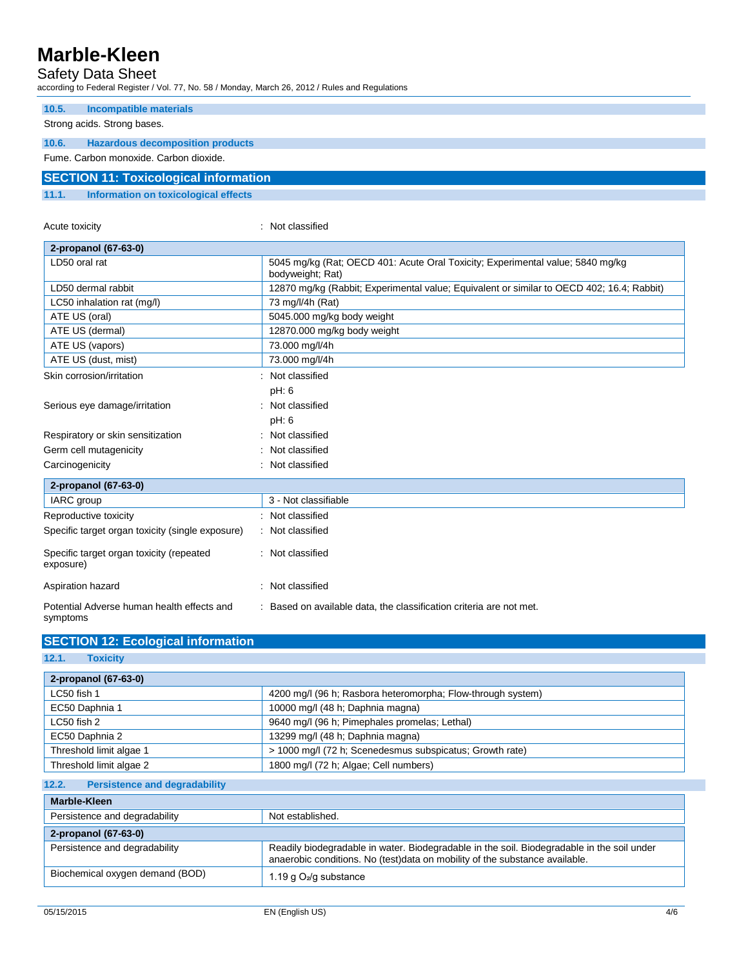### Safety Data Sheet

according to Federal Register / Vol. 77, No. 58 / Monday, March 26, 2012 / Rules and Regulations

| 10.5.                                        | Incompatible materials                  |  |  |
|----------------------------------------------|-----------------------------------------|--|--|
|                                              | Strong acids. Strong bases.             |  |  |
| 10.6.                                        | <b>Hazardous decomposition products</b> |  |  |
|                                              | Fume, Carbon monoxide, Carbon dioxide.  |  |  |
| <b>SECTION 11: Toxicological information</b> |                                         |  |  |
| 11.1.                                        | Information on toxicological effects    |  |  |

| Acute toxicity                                         | Not classified                                                                                     |
|--------------------------------------------------------|----------------------------------------------------------------------------------------------------|
| 2-propanol (67-63-0)                                   |                                                                                                    |
| LD50 oral rat                                          | 5045 mg/kg (Rat; OECD 401: Acute Oral Toxicity; Experimental value; 5840 mg/kg<br>bodyweight; Rat) |
| LD50 dermal rabbit                                     | 12870 mg/kg (Rabbit; Experimental value; Equivalent or similar to OECD 402; 16.4; Rabbit)          |
| LC50 inhalation rat (mg/l)                             | 73 mg/l/4h (Rat)                                                                                   |
| ATE US (oral)                                          | 5045.000 mg/kg body weight                                                                         |
| ATE US (dermal)                                        | 12870.000 mg/kg body weight                                                                        |
| ATE US (vapors)                                        | 73.000 mg/l/4h                                                                                     |
| ATE US (dust, mist)                                    | 73.000 mg/l/4h                                                                                     |
| Skin corrosion/irritation                              | Not classified                                                                                     |
|                                                        | pH: 6                                                                                              |
| Serious eye damage/irritation                          | Not classified                                                                                     |
|                                                        | pH: 6                                                                                              |
| Respiratory or skin sensitization                      | Not classified                                                                                     |
| Germ cell mutagenicity                                 | Not classified                                                                                     |
| Carcinogenicity                                        | Not classified                                                                                     |
| 2-propanol (67-63-0)                                   |                                                                                                    |
| IARC group                                             | 3 - Not classifiable                                                                               |
| Reproductive toxicity                                  | Not classified                                                                                     |
| Specific target organ toxicity (single exposure)       | Not classified                                                                                     |
| Specific target organ toxicity (repeated<br>exposure)  | Not classified                                                                                     |
| Aspiration hazard                                      | Not classified                                                                                     |
| Potential Adverse human health effects and<br>symptoms | Based on available data, the classification criteria are not met.                                  |

| 2-propanol (67-63-0)                          |                                                                                                                                                                           |
|-----------------------------------------------|---------------------------------------------------------------------------------------------------------------------------------------------------------------------------|
| LC50 fish 1                                   | 4200 mg/l (96 h; Rasbora heteromorpha; Flow-through system)                                                                                                               |
| EC50 Daphnia 1                                | 10000 mg/l (48 h; Daphnia magna)                                                                                                                                          |
| LC50 fish 2                                   | 9640 mg/l (96 h; Pimephales promelas; Lethal)                                                                                                                             |
| EC50 Daphnia 2                                | 13299 mg/l (48 h; Daphnia magna)                                                                                                                                          |
| Threshold limit algae 1                       | > 1000 mg/l (72 h; Scenedesmus subspicatus; Growth rate)                                                                                                                  |
| Threshold limit algae 2                       | 1800 mg/l (72 h; Algae; Cell numbers)                                                                                                                                     |
| <b>Persistence and degradability</b><br>12.2. |                                                                                                                                                                           |
| Marble-Kleen                                  |                                                                                                                                                                           |
| Persistence and degradability                 | Not established.                                                                                                                                                          |
| 2-propanol (67-63-0)                          |                                                                                                                                                                           |
| Persistence and degradability                 | Readily biodegradable in water. Biodegradable in the soil. Biodegradable in the soil under<br>anaerobic conditions. No (test)data on mobility of the substance available. |
| Biochemical oxygen demand (BOD)               | 1.19 g $O_2$ /g substance                                                                                                                                                 |

**SECTION 12: Ecological information**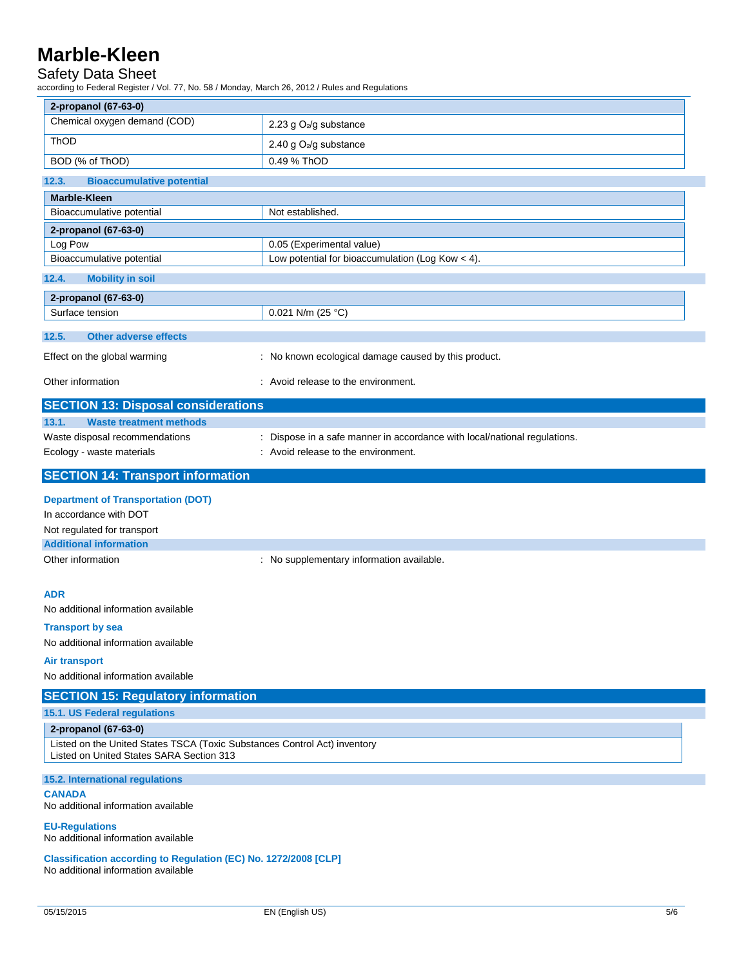### Safety Data Sheet

according to Federal Register / Vol. 77, No. 58 / Monday, March 26, 2012 / Rules and Regulations

| 2-propanol (67-63-0)                                                                                                  |                                                                           |
|-----------------------------------------------------------------------------------------------------------------------|---------------------------------------------------------------------------|
| Chemical oxygen demand (COD)                                                                                          | 2.23 g O <sub>2</sub> /g substance                                        |
| ThOD                                                                                                                  | 2.40 g O <sub>2</sub> /g substance                                        |
| BOD (% of ThOD)                                                                                                       | 0.49 % ThOD                                                               |
| 12.3.<br><b>Bioaccumulative potential</b>                                                                             |                                                                           |
| <b>Marble-Kleen</b>                                                                                                   |                                                                           |
| Bioaccumulative potential                                                                                             | Not established.                                                          |
| 2-propanol (67-63-0)                                                                                                  |                                                                           |
| Log Pow                                                                                                               | 0.05 (Experimental value)                                                 |
| Bioaccumulative potential                                                                                             | Low potential for bioaccumulation (Log Kow $<$ 4).                        |
| 12.4.<br><b>Mobility in soil</b>                                                                                      |                                                                           |
| 2-propanol (67-63-0)                                                                                                  |                                                                           |
| Surface tension                                                                                                       | 0.021 N/m (25 °C)                                                         |
| <b>Other adverse effects</b><br>12.5.                                                                                 |                                                                           |
| Effect on the global warming                                                                                          | : No known ecological damage caused by this product.                      |
|                                                                                                                       |                                                                           |
| Other information                                                                                                     | : Avoid release to the environment.                                       |
| <b>SECTION 13: Disposal considerations</b>                                                                            |                                                                           |
| 13.1.<br><b>Waste treatment methods</b>                                                                               |                                                                           |
| Waste disposal recommendations                                                                                        | : Dispose in a safe manner in accordance with local/national regulations. |
| Ecology - waste materials                                                                                             | : Avoid release to the environment.                                       |
| <b>SECTION 14: Transport information</b>                                                                              |                                                                           |
| <b>Department of Transportation (DOT)</b>                                                                             |                                                                           |
| In accordance with DOT                                                                                                |                                                                           |
| Not regulated for transport                                                                                           |                                                                           |
| <b>Additional information</b>                                                                                         |                                                                           |
| Other information                                                                                                     | : No supplementary information available.                                 |
|                                                                                                                       |                                                                           |
| <b>ADR</b>                                                                                                            |                                                                           |
| No additional information available                                                                                   |                                                                           |
| <b>Transport by sea</b>                                                                                               |                                                                           |
| No additional information available                                                                                   |                                                                           |
| Air transport                                                                                                         |                                                                           |
| No additional information available                                                                                   |                                                                           |
| <b>SECTION 15: Regulatory information</b>                                                                             |                                                                           |
| 15.1. US Federal regulations                                                                                          |                                                                           |
| 2-propanol (67-63-0)                                                                                                  |                                                                           |
| Listed on the United States TSCA (Toxic Substances Control Act) inventory<br>Listed on United States SARA Section 313 |                                                                           |
| 15.2. International regulations                                                                                       |                                                                           |
| <b>CANADA</b><br>No additional information available                                                                  |                                                                           |
| <b>EU-Regulations</b><br>No additional information available                                                          |                                                                           |
| Classification according to Regulation (EC) No. 1272/2008 [CLP]<br>No additional information available                |                                                                           |